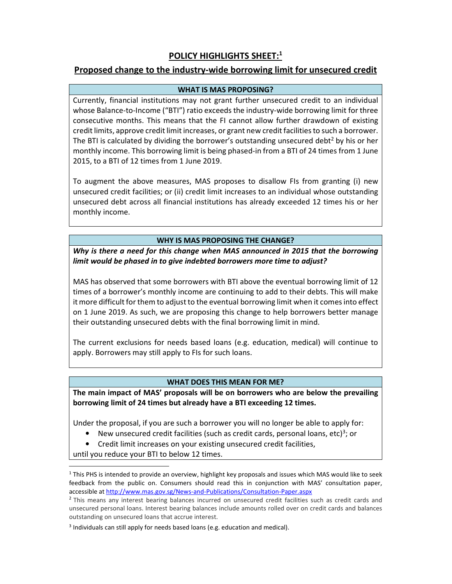# POLICY HIGHLIGHTS SHEET:<sup>1</sup>

## Proposed change to the industry-wide borrowing limit for unsecured credit

### WHAT IS MAS PROPOSING?

Currently, financial institutions may not grant further unsecured credit to an individual whose Balance-to-Income ("BTI") ratio exceeds the industry-wide borrowing limit for three consecutive months. This means that the FI cannot allow further drawdown of existing credit limits, approve credit limit increases, or grant new credit facilities to such a borrower. The BTI is calculated by dividing the borrower's outstanding unsecured debt<sup>2</sup> by his or her monthly income. This borrowing limit is being phased-in from a BTI of 24 times from 1 June 2015, to a BTI of 12 times from 1 June 2019.

To augment the above measures, MAS proposes to disallow FIs from granting (i) new unsecured credit facilities; or (ii) credit limit increases to an individual whose outstanding unsecured debt across all financial institutions has already exceeded 12 times his or her monthly income.

### WHY IS MAS PROPOSING THE CHANGE?

Why is there a need for this change when MAS announced in 2015 that the borrowing limit would be phased in to give indebted borrowers more time to adjust?

MAS has observed that some borrowers with BTI above the eventual borrowing limit of 12 times of a borrower's monthly income are continuing to add to their debts. This will make it more difficult for them to adjust to the eventual borrowing limit when it comes into effect on 1 June 2019. As such, we are proposing this change to help borrowers better manage their outstanding unsecured debts with the final borrowing limit in mind.

The current exclusions for needs based loans (e.g. education, medical) will continue to apply. Borrowers may still apply to FIs for such loans.

#### WHAT DOES THIS MEAN FOR ME?

The main impact of MAS' proposals will be on borrowers who are below the prevailing borrowing limit of 24 times but already have a BTI exceeding 12 times.

Under the proposal, if you are such a borrower you will no longer be able to apply for:

- New unsecured credit facilities (such as credit cards, personal loans, etc)<sup>3</sup>; or
- Credit limit increases on your existing unsecured credit facilities,

until you reduce your BTI to below 12 times.

-

<sup>&</sup>lt;sup>1</sup> This PHS is intended to provide an overview, highlight key proposals and issues which MAS would like to seek feedback from the public on. Consumers should read this in conjunction with MAS' consultation paper, accessible at http://www.mas.gov.sg/News-and-Publications/Consultation-Paper.aspx

<sup>&</sup>lt;sup>2</sup> This means any interest bearing balances incurred on unsecured credit facilities such as credit cards and unsecured personal loans. Interest bearing balances include amounts rolled over on credit cards and balances outstanding on unsecured loans that accrue interest.

<sup>&</sup>lt;sup>3</sup> Individuals can still apply for needs based loans (e.g. education and medical).